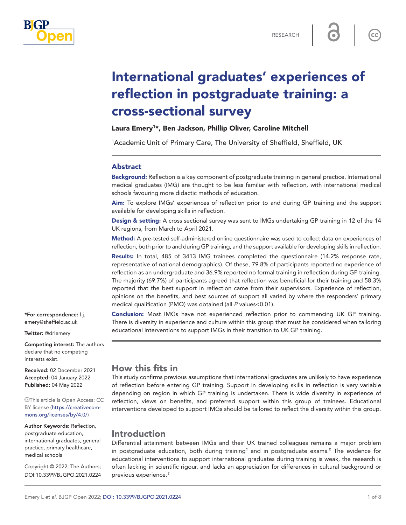

 $cc$ 

# International graduates' experiences of reflection in postgraduate training: a cross-sectional survey

## Laura Emery<sup>1\*</sup>, Ben Jackson, Phillip Oliver, Caroline Mitchell

<sup>1</sup>Academic Unit of Primary Care, The University of Sheffield, Sheffield, UK

#### Abstract

Background: Reflection is a key component of postgraduate training in general practice. International medical graduates (IMG) are thought to be less familiar with reflection, with international medical schools favouring more didactic methods of education.

Aim: To explore IMGs' experiences of reflection prior to and during GP training and the support available for developing skills in reflection.

Design & setting: A cross sectional survey was sent to IMGs undertaking GP training in 12 of the 14 UK regions, from March to April 2021.

Method: A pre-tested self-administered online questionnaire was used to collect data on experiences of reflection, both prior to and during GP training, and the support available for developing skills in reflection.

Results: In total, 485 of 3413 IMG trainees completed the questionnaire (14.2% response rate, representative of national demographics). Of these, 79.8% of participants reported no experience of reflection as an undergraduate and 36.9% reported no formal training in reflection during GP training. The majority (69.7%) of participants agreed that reflection was beneficial for their training and 58.3% reported that the best support in reflection came from their supervisors. Experience of reflection, opinions on the benefits, and best sources of support all varied by where the responders' primary medical qualification (PMQ) was obtained (all *P* values<0.01).

Conclusion: Most IMGs have not experienced reflection prior to commencing UK GP training. There is diversity in experience and culture within this group that must be considered when tailoring educational interventions to support IMGs in their transition to UK GP training.

\*For correspondence: [l.j.](mailto:l.j.emery@sheffield.ac.uk) [emery@sheffield.ac.uk](mailto:l.j.emery@sheffield.ac.uk)

Twitter: @drlemery

Competing interest: The authors declare that no competing interests exist.

Received: 02 December 2021 Accepted: 04 January 2022 Published: 04 May 2022

This article is Open Access: CC BY license [\(https://creativecom](https://creativecommons.org/licenses/by/4.0/)[mons.org/licenses/by/4.0/\)](https://creativecommons.org/licenses/by/4.0/)

Author Keywords: Reflection, postgraduate education, international graduates, general practice, primary healthcare, medical schools

Copyright © 2022, The Authors; DOI:10.3399/BJGPO.2021.0224

# How this fits in

This study confirms previous assumptions that international graduates are unlikely to have experience of reflection before entering GP training. Support in developing skills in reflection is very variable depending on region in which GP training is undertaken. There is wide diversity in experience of reflection, views on benefits, and preferred support within this group of trainees. Educational interventions developed to support IMGs should be tailored to reflect the diversity within this group.

# Introduction

Differential attainment between IMGs and their UK trained colleagues remains a major problem in postgraduate education, both during training*[1](#page-6-0)* and in postgraduate exams.*[2](#page-7-0)* The evidence for educational interventions to support international graduates during training is weak, the research is often lacking in scientific rigour, and lacks an appreciation for differences in cultural background or previous experience.*[3](#page-7-1)*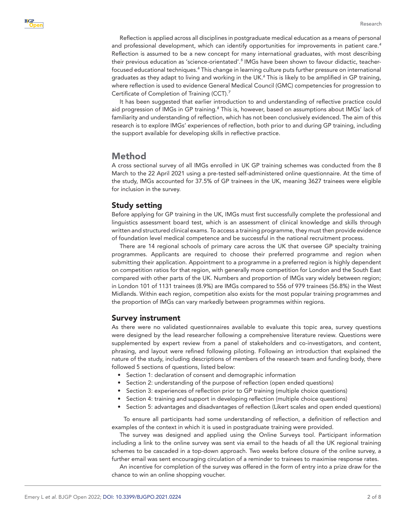Reflection is applied across all disciplines in postgraduate medical education as a means of personal and professional development, which can identify opportunities for improvements in patient care.*[4](#page-7-2)* Reflection is assumed to be a new concept for many international graduates, with most describing their previous education as 'science-orientated'.*[5](#page-7-3)* IMGs have been shown to favour didactic, teacherfocused educational techniques.*[6](#page-7-4)* This change in learning culture puts further pressure on international graduates as they adapt to living and working in the UK.*[6](#page-7-4)* This is likely to be amplified in GP training, where reflection is used to evidence General Medical Council (GMC) competencies for progression to Certificate of Completion of Training (CCT).*[7](#page-7-5)*

It has been suggested that earlier introduction to and understanding of reflective practice could aid progression of IMGs in GP training.*[8](#page-7-6)* This is, however, based on assumptions about IMGs' lack of familiarity and understanding of reflection, which has not been conclusively evidenced. The aim of this research is to explore IMGs' experiences of reflection, both prior to and during GP training, including the support available for developing skills in reflective practice.

# Method

A cross sectional survey of all IMGs enrolled in UK GP training schemes was conducted from the 8 March to the 22 April 2021 using a pre-tested self-administered online questionnaire. At the time of the study, IMGs accounted for 37.5% of GP trainees in the UK, meaning 3627 trainees were eligible for inclusion in the survey.

## Study setting

Before applying for GP training in the UK, IMGs must first successfully complete the professional and linguistics assessment board test, which is an assessment of clinical knowledge and skills through written and structured clinical exams. To access a training programme, they must then provide evidence of foundation level medical competence and be successful in the national recruitment process.

There are 14 regional schools of primary care across the UK that oversee GP specialty training programmes. Applicants are required to choose their preferred programme and region when submitting their application. Appointment to a programme in a preferred region is highly dependent on competition ratios for that region, with generally more competition for London and the South East compared with other parts of the UK. Numbers and proportion of IMGs vary widely between region; in London 101 of 1131 trainees (8.9%) are IMGs compared to 556 of 979 trainees (56.8%) in the West Midlands. Within each region, competition also exists for the most popular training programmes and the proportion of IMGs can vary markedly between programmes within regions.

#### Survey instrument

As there were no validated questionnaires available to evaluate this topic area, survey questions were designed by the lead researcher following a comprehensive literature review. Questions were supplemented by expert review from a panel of stakeholders and co-investigators, and content, phrasing, and layout were refined following piloting. Following an introduction that explained the nature of the study, including descriptions of members of the research team and funding body, there followed 5 sections of questions, listed below:

- Section 1: declaration of consent and demographic information
- Section 2: understanding of the purpose of reflection (open ended questions)
- Section 3: experiences of reflection prior to GP training (multiple choice questions)
- Section 4: training and support in developing reflection (multiple choice questions)
- Section 5: advantages and disadvantages of reflection (Likert scales and open ended questions)

To ensure all participants had some understanding of reflection, a definition of reflection and examples of the context in which it is used in postgraduate training were provided.

The survey was designed and applied using the Online Surveys tool. Participant information including a link to the online survey was sent via email to the heads of all the UK regional training schemes to be cascaded in a top-down approach. Two weeks before closure of the online survey, a further email was sent encouraging circulation of a reminder to trainees to maximise response rates.

An incentive for completion of the survey was offered in the form of entry into a prize draw for the chance to win an online shopping voucher.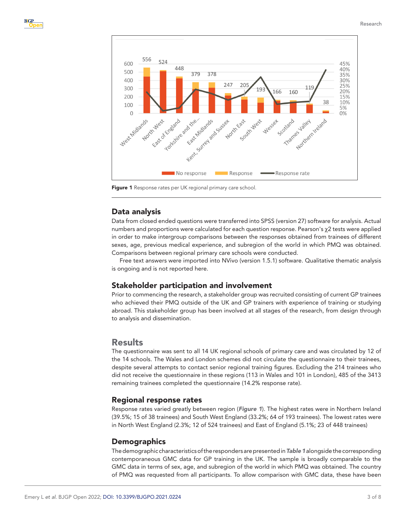

<span id="page-2-0"></span>Figure 1 Response rates per UK regional primary care school.

## Data analysis

Data from closed ended questions were transferred into SPSS (version 27) software for analysis. Actual numbers and proportions were calculated for each question response. Pearson's χ2 tests were applied in order to make intergroup comparisons between the responses obtained from trainees of different sexes, age, previous medical experience, and subregion of the world in which PMQ was obtained. Comparisons between regional primary care schools were conducted.

Free text answers were imported into NVivo (version 1.5.1) software. Qualitative thematic analysis is ongoing and is not reported here.

#### Stakeholder participation and involvement

Prior to commencing the research, a stakeholder group was recruited consisting of current GP trainees who achieved their PMQ outside of the UK and GP trainers with experience of training or studying abroad. This stakeholder group has been involved at all stages of the research, from design through to analysis and dissemination.

## Results

The questionnaire was sent to all 14 UK regional schools of primary care and was circulated by 12 of the 14 schools. The Wales and London schemes did not circulate the questionnaire to their trainees, despite several attempts to contact senior regional training figures. Excluding the 214 trainees who did not receive the questionnaire in these regions (113 in Wales and 101 in London), 485 of the 3413 remaining trainees completed the questionnaire (14.2% response rate).

#### Regional response rates

Response rates varied greatly between region (*[Figure 1](#page-2-0)*). The highest rates were in Northern Ireland (39.5%; 15 of 38 trainees) and South West England (33.2%; 64 of 193 trainees). The lowest rates were in North West England (2.3%; 12 of 524 trainees) and East of England (5.1%; 23 of 448 trainees)

#### **Demographics**

The demographic characteristics of the responders are presented in *[Table 1](#page-3-0)* alongside the corresponding contemporaneous GMC data for GP training in the UK. The sample is broadly comparable to the GMC data in terms of sex, age, and subregion of the world in which PMQ was obtained. The country of PMQ was requested from all participants. To allow comparison with GMC data, these have been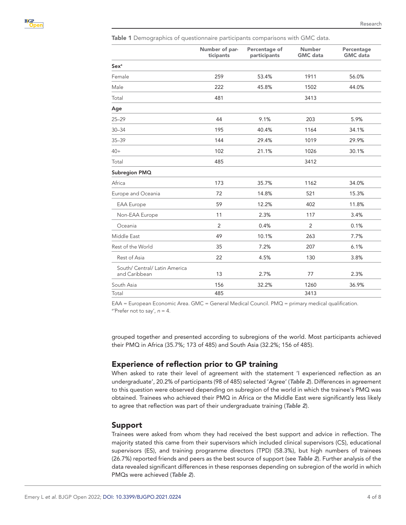<span id="page-3-0"></span>Table 1 Demographics of questionnaire participants comparisons with GMC data.

|                                                | Number of par-<br>ticipants | Percentage of<br>participants | <b>Number</b><br><b>GMC</b> data | Percentage<br><b>GMC</b> data |
|------------------------------------------------|-----------------------------|-------------------------------|----------------------------------|-------------------------------|
| <b>Sex<sup>a</sup></b>                         |                             |                               |                                  |                               |
| Female                                         | 259                         | 53.4%                         | 1911                             | 56.0%                         |
| Male                                           | 222                         | 45.8%                         | 1502                             | 44.0%                         |
| Total                                          | 481                         |                               | 3413                             |                               |
| Age                                            |                             |                               |                                  |                               |
| $25 - 29$                                      | 44                          | 9.1%                          | 203                              | 5.9%                          |
| $30 - 34$                                      | 195                         | 40.4%                         | 1164                             | 34.1%                         |
| $35 - 39$                                      | 144                         | 29.4%                         | 1019                             | 29.9%                         |
| $40+$                                          | 102                         | 21.1%                         | 1026                             | 30.1%                         |
| Total                                          | 485                         |                               | 3412                             |                               |
| Subregion PMQ                                  |                             |                               |                                  |                               |
| Africa                                         | 173                         | 35.7%                         | 1162                             | 34.0%                         |
| Europe and Oceania                             | 72                          | 14.8%                         | 521                              | 15.3%                         |
| <b>EAA</b> Europe                              | 59                          | 12.2%                         | 402                              | 11.8%                         |
| Non-EAA Europe                                 | 11                          | 2.3%                          | 117                              | 3.4%                          |
| Oceania                                        | $\overline{2}$              | 0.4%                          | 2                                | 0.1%                          |
| Middle East                                    | 49                          | 10.1%                         | 263                              | 7.7%                          |
| Rest of the World                              | 35                          | 7.2%                          | 207                              | 6.1%                          |
| Rest of Asia                                   | 22                          | 4.5%                          | 130                              | 3.8%                          |
| South/ Central/ Latin America<br>and Caribbean | 13                          | 2.7%                          | 77                               | 2.3%                          |
| South Asia                                     | 156                         | 32.2%                         | 1260                             | 36.9%                         |
| Total                                          | 485                         |                               | 3413                             |                               |

EAA = European Economic Area. GMC = General Medical Council. PMQ = primary medical qualification. <sup>a</sup>'Prefer not to say',  $n = 4$ .

grouped together and presented according to subregions of the world. Most participants achieved their PMQ in Africa (35.7%; 173 of 485) and South Asia (32.2%; 156 of 485).

## Experience of reflection prior to GP training

When asked to rate their level of agreement with the statement 'I experienced reflection as an undergraduate', 20.2% of participants (98 of 485) selected 'Agree' (*[Table 2](#page-4-0)*). Differences in agreement to this question were observed depending on subregion of the world in which the trainee's PMQ was obtained. Trainees who achieved their PMQ in Africa or the Middle East were significantly less likely to agree that reflection was part of their undergraduate training (*[Table 2](#page-4-0)*).

#### Support

Trainees were asked from whom they had received the best support and advice in reflection. The majority stated this came from their supervisors which included clinical supervisors (CS), educational supervisors (ES), and training programme directors (TPD) (58.3%), but high numbers of trainees (26.7%) reported friends and peers as the best source of support (see *[Table 2](#page-4-0)*). Further analysis of the data revealed significant differences in these responses depending on subregion of the world in which PMQs were achieved (*[Table 2](#page-4-0)*).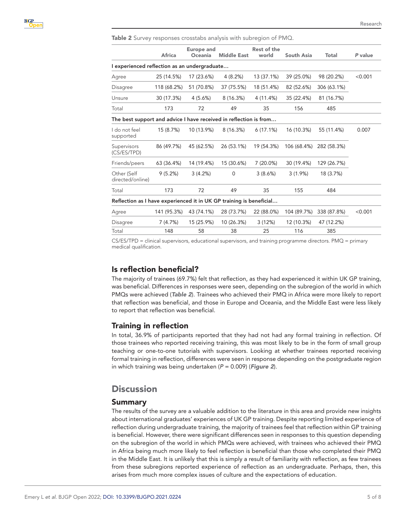<span id="page-4-0"></span>Table 2 Survey responses crosstabs analysis with subregion of PMQ.

|                                                                     | <b>Africa</b> | <b>Europe and</b><br>Oceania | <b>Middle East</b> | <b>Rest of the</b><br>world | <b>South Asia</b> | <b>Total</b> | P value |
|---------------------------------------------------------------------|---------------|------------------------------|--------------------|-----------------------------|-------------------|--------------|---------|
| I experienced reflection as an undergraduate                        |               |                              |                    |                             |                   |              |         |
| Agree                                                               | 25 (14.5%)    | 17 (23.6%)                   | 4(8.2%)            | 13 (37.1%)                  | 39 (25.0%)        | 98 (20.2%)   | < 0.001 |
| Disagree                                                            | 118 (68.2%)   | 51 (70.8%)                   | 37 (75.5%)         | 18 (51.4%)                  | 82 (52.6%)        | 306 (63.1%)  |         |
| Unsure                                                              | 30 (17.3%)    | 4(5.6%)                      | 8(16.3%)           | 4 (11.4%)                   | 35 (22.4%)        | 81 (16.7%)   |         |
| Total                                                               | 173           | 72                           | 49                 | 35                          | 156               | 485          |         |
| The best support and advice I have received in reflection is from   |               |                              |                    |                             |                   |              |         |
| I do not feel<br>supported                                          | 15 (8.7%)     | 10 (13.9%)                   | 8(16.3%)           | 6(17.1%)                    | 16 (10.3%)        | 55 (11.4%)   | 0.007   |
| Supervisors<br>(CS/ES/TPD)                                          | 86 (49.7%)    | 45 (62.5%)                   | 26 (53.1%)         | 19 (54.3%)                  | 106 (68.4%)       | 282 (58.3%)  |         |
| Friends/peers                                                       | 63 (36.4%)    | 14 (19.4%)                   | 15 (30.6%)         | $7(20.0\%)$                 | 30 (19.4%)        | 129 (26.7%)  |         |
| Other (Self<br>directed/online)                                     | 9(5.2%)       | 3(4.2%)                      | $\Omega$           | 3(8.6%)                     | 3(1.9%)           | 18 (3.7%)    |         |
| Total                                                               | 173           | 72                           | 49                 | 35                          | 155               | 484          |         |
| Reflection as I have experienced it in UK GP training is beneficial |               |                              |                    |                             |                   |              |         |
| Agree                                                               | 141 (95.3%)   | 43 (74.1%)                   | 28 (73.7%)         | 22 (88.0%)                  | 104 (89.7%)       | 338 (87.8%)  | < 0.001 |
| <b>Disagree</b>                                                     | 7(4.7%)       | 15 (25.9%)                   | 10 (26.3%)         | 3(12%)                      | 12 (10.3%)        | 47 (12.2%)   |         |
| Total                                                               | 148           | 58                           | 38                 | 25                          | 116               | 385          |         |

CS/ES/TPD = clinical supervisors, educational supervisors, and training programme directors. PMQ = primary medical qualification.

## Is reflection beneficial?

The majority of trainees (69.7%) felt that reflection, as they had experienced it within UK GP training, was beneficial. Differences in responses were seen, depending on the subregion of the world in which PMQs were achieved (*[Table 2](#page-4-0)*). Trainees who achieved their PMQ in Africa were more likely to report that reflection was beneficial, and those in Europe and Oceania, and the Middle East were less likely to report that reflection was beneficial.

#### Training in reflection

In total, 36.9% of participants reported that they had not had any formal training in reflection. Of those trainees who reported receiving training, this was most likely to be in the form of small group teaching or one-to-one tutorials with supervisors. Looking at whether trainees reported receiving formal training in reflection, differences were seen in response depending on the postgraduate region in which training was being undertaken (*P* = 0.009) (*[Figure 2](#page-5-0)*).

# Discussion

#### Summary

The results of the survey are a valuable addition to the literature in this area and provide new insights about international graduates' experiences of UK GP training. Despite reporting limited experience of reflection during undergraduate training, the majority of trainees feel that reflection within GP training is beneficial. However, there were significant differences seen in responses to this question depending on the subregion of the world in which PMQs were achieved, with trainees who achieved their PMQ in Africa being much more likely to feel reflection is beneficial than those who completed their PMQ in the Middle East. It is unlikely that this is simply a result of familiarity with reflection, as few trainees from these subregions reported experience of reflection as an undergraduate. Perhaps, then, this arises from much more complex issues of culture and the expectations of education.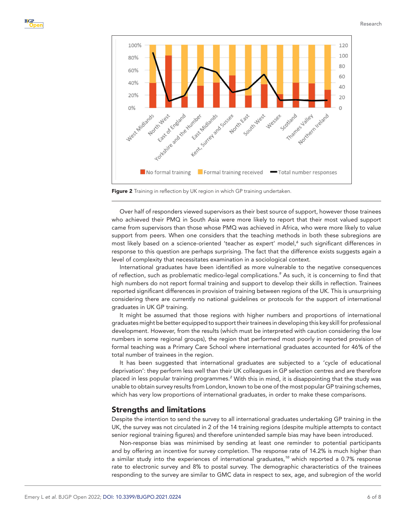

<span id="page-5-0"></span>

Over half of responders viewed supervisors as their best source of support, however those trainees who achieved their PMQ in South Asia were more likely to report that their most valued support came from supervisors than those whose PMQ was achieved in Africa, who were more likely to value support from peers. When one considers that the teaching methods in both these subregions are most likely based on a science-oriented 'teacher as expert' model,<sup>[6](#page-7-4)</sup> such significant differences in response to this question are perhaps surprising. The fact that the difference exists suggests again a level of complexity that necessitates examination in a sociological context.

International graduates have been identified as more vulnerable to the negative consequences of reflection, such as problematic medico-legal complications.<sup>[9](#page-7-7)</sup> As such, it is concerning to find that high numbers do not report formal training and support to develop their skills in reflection. Trainees reported significant differences in provision of training between regions of the UK. This is unsurprising considering there are currently no national guidelines or protocols for the support of international graduates in UK GP training.

It might be assumed that those regions with higher numbers and proportions of international graduates might be better equipped to support their trainees in developing this key skill for professional development. However, from the results (which must be interpreted with caution considering the low numbers in some regional groups), the region that performed most poorly in reported provision of formal teaching was a Primary Care School where international graduates accounted for 46% of the total number of trainees in the region.

It has been suggested that international graduates are subjected to a 'cycle of educational deprivation': they perform less well than their UK colleagues in GP selection centres and are therefore placed in less popular training programmes.*[2](#page-7-0)* With this in mind, it is disappointing that the study was unable to obtain survey results from London, known to be one of the most popular GP training schemes, which has very low proportions of international graduates, in order to make these comparisons.

#### Strengths and limitations

Despite the intention to send the survey to all international graduates undertaking GP training in the UK, the survey was not circulated in 2 of the 14 training regions (despite multiple attempts to contact senior regional training figures) and therefore unintended sample bias may have been introduced.

Non-response bias was minimised by sending at least one reminder to potential participants and by offering an incentive for survey completion. The response rate of 14.2% is much higher than a similar study into the experiences of international graduates,*[10](#page-7-8)* which reported a 0.7% response rate to electronic survey and 8% to postal survey. The demographic characteristics of the trainees responding to the survey are similar to GMC data in respect to sex, age, and subregion of the world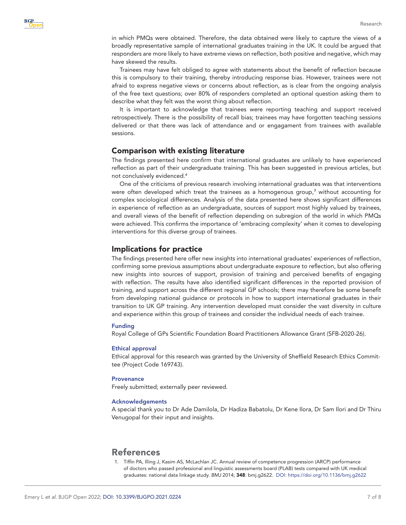in which PMQs were obtained. Therefore, the data obtained were likely to capture the views of a broadly representative sample of international graduates training in the UK. It could be argued that responders are more likely to have extreme views on reflection, both positive and negative, which may have skewed the results.

Trainees may have felt obliged to agree with statements about the benefit of reflection because this is compulsory to their training, thereby introducing response bias. However, trainees were not afraid to express negative views or concerns about reflection, as is clear from the ongoing analysis of the free text questions; over 80% of responders completed an optional question asking them to describe what they felt was the worst thing about reflection.

It is important to acknowledge that trainees were reporting teaching and support received retrospectively. There is the possibility of recall bias; trainees may have forgotten teaching sessions delivered or that there was lack of attendance and or engagament from trainees with available sessions.

#### Comparison with existing literature

The findings presented here confirm that international graduates are unlikely to have experienced reflection as part of their undergraduate training. This has been suggested in previous articles, but not conclusively evidenced.*[6](#page-7-4)*

One of the criticisms of previous research involving international graduates was that interventions were often developed which treat the trainees as a homogenous group,*[3](#page-7-1)* without accounting for complex sociological differences. Analysis of the data presented here shows significant differences in experience of reflection as an undergraduate, sources of support most highly valued by trainees, and overall views of the benefit of reflection depending on subregion of the world in which PMQs were achieved. This confirms the importance of 'embracing complexity' when it comes to developing interventions for this diverse group of trainees.

#### Implications for practice

The findings presented here offer new insights into international graduates' experiences of reflection, confirming some previous assumptions about undergraduate exposure to reflection, but also offering new insights into sources of support, provision of training and perceived benefits of engaging with reflection. The results have also identified significant differences in the reported provision of training, and support across the different regional GP schools; there may therefore be some benefit from developing national guidance or protocols in how to support international graduates in their transition to UK GP training. Any intervention developed must consider the vast diversity in culture and experience within this group of trainees and consider the individual needs of each trainee.

#### Funding

Royal College of GPs Scientific Foundation Board Practitioners Allowance Grant (SFB-2020-26).

#### Ethical approval

Ethical approval for this research was granted by the University of Sheffield Research Ethics Committee (Project Code 169743).

#### **Provenance**

Freely submitted; externally peer reviewed.

#### Acknowledgements

A special thank you to Dr Ade Damilola, Dr Hadiza Babatolu, Dr Kene Ilora, Dr Sam Ilori and Dr Thiru Venugopal for their input and insights.

# References

<span id="page-6-0"></span>1. Tiffin PA, Illing J, Kasim AS, McLachlan JC. Annual review of competence progression (ARCP) performance of doctors who passed professional and linguistic assessments board (PLAB) tests compared with UK medical graduates: national data linkage study. *BMJ* 2014; 348: bmj.g2622. DOI:<https://doi.org/10.1136/bmj.g2622>